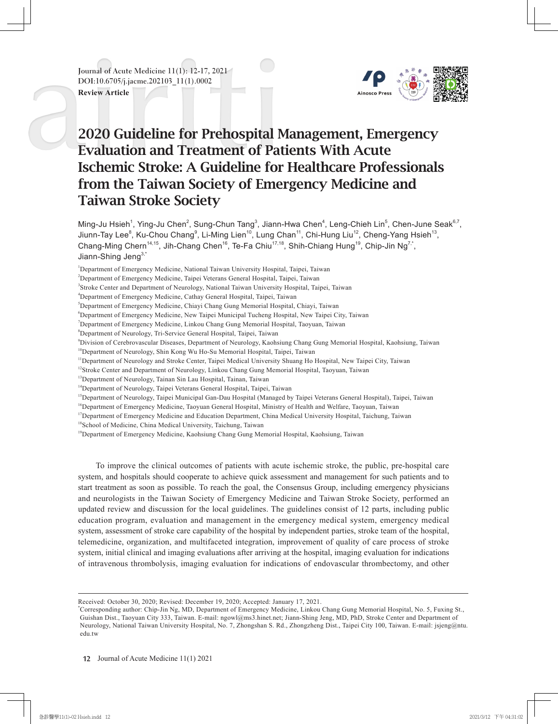**Journal of Acute Medicine 11(1): 12-17, 2021 DOI:10.6705/j.jacme.202103\_11(1).0002**

**Review Article**



# 2020 Guideline for Prehospital Management, Emergency Evaluation and Treatment of Patients With Acute Ischemic Stroke: A Guideline for Healthcare Professionals from the Taiwan Society of Emergency Medicine and Taiwan Stroke Society

Ming-Ju Hsieh $^1$ , Ying-Ju Chen $^2$ , Sung-Chun Tang $^3$ , Jiann-Hwa Chen $^4$ , Leng-Chieh Lin $^5$ , Chen-June Seak $^{6,7}$ , Jiunn-Tay Lee $^8$ , Ku-Chou Chang $^9$ , Li-Ming Lien $^{10}$ , Lung Chan $^{11}$ , Chi-Hung Liu $^{12}$ , Cheng-Yang Hsieh $^{13}$ , Chang-Ming Chern<sup>14,15</sup>, Jih-Chang Chen<sup>16</sup>, Te-Fa Chiu<sup>17,18</sup>, Shih-Chiang Hung<sup>19</sup>, Chip-Jin Ng<sup>7,\*</sup>, Jiann-Shing Jeng<sup>3,\*</sup>

<sup>1</sup>Department of Emergency Medicine, National Taiwan University Hospital, Taipei, Taiwan

2 Department of Emergency Medicine, Taipei Veterans General Hospital, Taipei, Taiwan

4 Department of Emergency Medicine, Cathay General Hospital, Taipei, Taiwan

- 6 Department of Emergency Medicine, New Taipei Municipal Tucheng Hospital, New Taipei City, Taiwan
- 7 Department of Emergency Medicine, Linkou Chang Gung Memorial Hospital, Taoyuan, Taiwan
- 8 Department of Neurology, Tri-Service General Hospital, Taipei, Taiwan
- 9 Division of Cerebrovascular Diseases, Department of Neurology, Kaohsiung Chang Gung Memorial Hospital, Kaohsiung, Taiwan

<sup>10</sup>Department of Neurology, Shin Kong Wu Ho-Su Memorial Hospital, Taipei, Taiwan

- <sup>11</sup>Department of Neurology and Stroke Center, Taipei Medical University Shuang Ho Hospital, New Taipei City, Taiwan
- <sup>12</sup>Stroke Center and Department of Neurology, Linkou Chang Gung Memorial Hospital, Taoyuan, Taiwan
- <sup>13</sup>Department of Neurology, Tainan Sin Lau Hospital, Tainan, Taiwan
- <sup>14</sup>Department of Neurology, Taipei Veterans General Hospital, Taipei, Taiwan
- <sup>15</sup>Department of Neurology, Taipei Municipal Gan-Dau Hospital (Managed by Taipei Veterans General Hospital), Taipei, Taiwan
- <sup>16</sup>Department of Emergency Medicine, Taoyuan General Hospital, Ministry of Health and Welfare, Taoyuan, Taiwan
- <sup>17</sup>Department of Emergency Medicine and Education Department, China Medical University Hospital, Taichung, Taiwan
- <sup>18</sup>School of Medicine, China Medical University, Taichung, Taiwan

<sup>19</sup>Department of Emergency Medicine, Kaohsiung Chang Gung Memorial Hospital, Kaohsiung, Taiwan

To improve the clinical outcomes of patients with acute ischemic stroke, the public, pre-hospital care system, and hospitals should cooperate to achieve quick assessment and management for such patients and to start treatment as soon as possible. To reach the goal, the Consensus Group, including emergency physicians and neurologists in the Taiwan Society of Emergency Medicine and Taiwan Stroke Society, performed an updated review and discussion for the local guidelines. The guidelines consist of 12 parts, including public education program, evaluation and management in the emergency medical system, emergency medical system, assessment of stroke care capability of the hospital by independent parties, stroke team of the hospital, telemedicine, organization, and multifaceted integration, improvement of quality of care process of stroke system, initial clinical and imaging evaluations after arriving at the hospital, imaging evaluation for indications of intravenous thrombolysis, imaging evaluation for indications of endovascular thrombectomy, and other

<sup>3</sup> Stroke Center and Department of Neurology, National Taiwan University Hospital, Taipei, Taiwan

<sup>5</sup> Department of Emergency Medicine, Chiayi Chang Gung Memorial Hospital, Chiayi, Taiwan

Received: October 30, 2020; Revised: December 19, 2020; Accepted: January 17, 2021.

<sup>\*</sup> Corresponding author: Chip-Jin Ng, MD, Department of Emergency Medicine, Linkou Chang Gung Memorial Hospital, No. 5, Fuxing St., Guishan Dist., Taoyuan City 333, Taiwan. E-mail: ngowl@ms3.hinet.net; Jiann-Shing Jeng, MD, PhD, Stroke Center and Department of Neurology, National Taiwan University Hospital, No. 7, Zhongshan S. Rd., Zhongzheng Dist., Taipei City 100, Taiwan. E-mail: jsjeng@ntu. edu.tw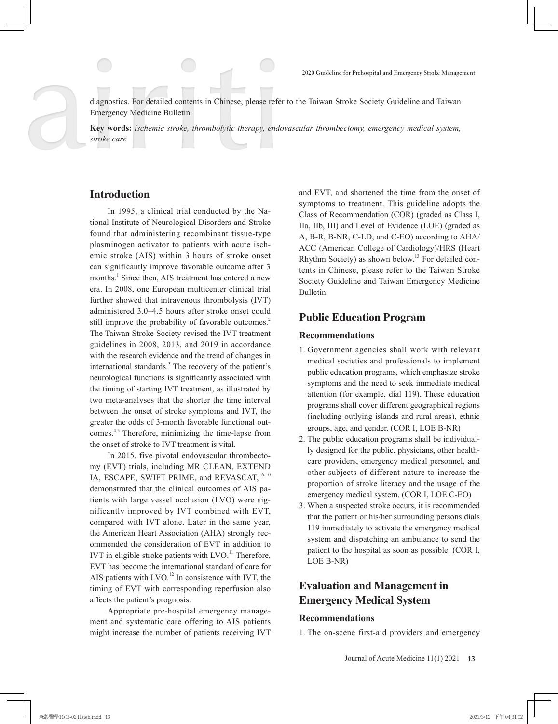diagnostics. For detailed contents in Chinese, please refer to the Taiwan Stroke Society Guideline and Taiwan Emergency Medicine Bulletin.

**Key words:** *ischemic stroke, thrombolytic therapy, endovascular thrombectomy, emergency medical system, stroke care*

### **Introduction**

In 1995, a clinical trial conducted by the National Institute of Neurological Disorders and Stroke found that administering recombinant tissue-type plasminogen activator to patients with acute ischemic stroke (AIS) within 3 hours of stroke onset can significantly improve favorable outcome after 3 months.<sup>1</sup> Since then, AIS treatment has entered a new era. In 2008, one European multicenter clinical trial further showed that intravenous thrombolysis (IVT) administered 3.0–4.5 hours after stroke onset could still improve the probability of favorable outcomes.<sup>2</sup> The Taiwan Stroke Society revised the IVT treatment guidelines in 2008, 2013, and 2019 in accordance with the research evidence and the trend of changes in international standards.<sup>3</sup> The recovery of the patient's neurological functions is significantly associated with the timing of starting IVT treatment, as illustrated by two meta-analyses that the shorter the time interval between the onset of stroke symptoms and IVT, the greater the odds of 3-month favorable functional outcomes.4,5 Therefore, minimizing the time-lapse from the onset of stroke to IVT treatment is vital.

In 2015, five pivotal endovascular thrombectomy (EVT) trials, including MR CLEAN, EXTEND IA, ESCAPE, SWIFT PRIME, and REVASCAT, <sup>6-10</sup> demonstrated that the clinical outcomes of AIS patients with large vessel occlusion (LVO) were significantly improved by IVT combined with EVT, compared with IVT alone. Later in the same year, the American Heart Association (AHA) strongly recommended the consideration of EVT in addition to IVT in eligible stroke patients with  $LVO$ .<sup>11</sup> Therefore, EVT has become the international standard of care for AIS patients with LVO.<sup>12</sup> In consistence with IVT, the timing of EVT with corresponding reperfusion also affects the patient's prognosis.

Appropriate pre-hospital emergency management and systematic care offering to AIS patients might increase the number of patients receiving IVT and EVT, and shortened the time from the onset of symptoms to treatment. This guideline adopts the Class of Recommendation (COR) (graded as Class I, IIa, IIb, III) and Level of Evidence (LOE) (graded as A, B-R, B-NR, C-LD, and C-EO) according to AHA/ ACC (American College of Cardiology)/HRS (Heart Rhythm Society) as shown below.<sup>13</sup> For detailed contents in Chinese, please refer to the Taiwan Stroke Society Guideline and Taiwan Emergency Medicine Bulletin.

### **Public Education Program**

#### **Recommendations**

- 1. Government agencies shall work with relevant medical societies and professionals to implement public education programs, which emphasize stroke symptoms and the need to seek immediate medical attention (for example, dial 119). These education programs shall cover different geographical regions (including outlying islands and rural areas), ethnic groups, age, and gender. (COR I, LOE B-NR)
- 2. The public education programs shall be individually designed for the public, physicians, other healthcare providers, emergency medical personnel, and other subjects of different nature to increase the proportion of stroke literacy and the usage of the emergency medical system. (COR I, LOE C-EO)
- 3. When a suspected stroke occurs, it is recommended that the patient or his/her surrounding persons dials 119 immediately to activate the emergency medical system and dispatching an ambulance to send the patient to the hospital as soon as possible. (COR I, LOE B-NR)

# **Evaluation and Management in Emergency Medical System**

#### **Recommendations**

1. The on-scene first-aid providers and emergency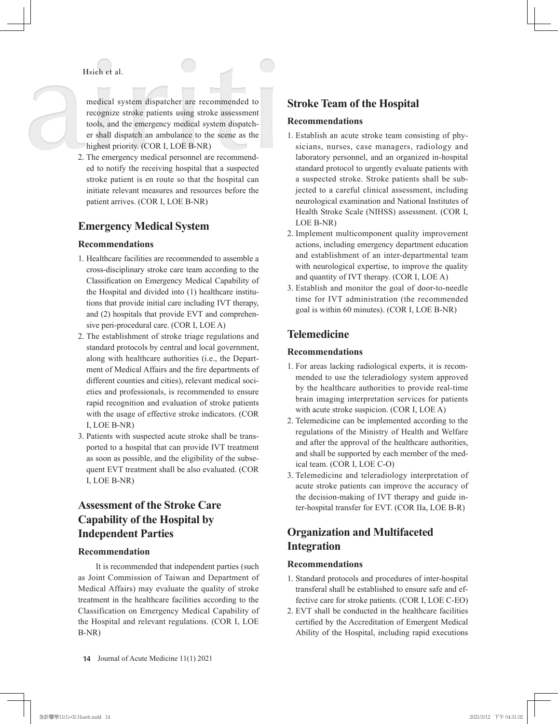#### **Hsieh et al.**

medical system dispatcher are recommended to recognize stroke patients using stroke assessment tools, and the emergency medical system dispatcher shall dispatch an ambulance to the scene as the highest priority. (COR I, LOE B-NR)

2. The emergency medical personnel are recommended to notify the receiving hospital that a suspected stroke patient is en route so that the hospital can initiate relevant measures and resources before the patient arrives. (COR I, LOE B-NR)

## **Emergency Medical System**

#### **Recommendations**

- 1. Healthcare facilities are recommended to assemble a cross-disciplinary stroke care team according to the Classification on Emergency Medical Capability of the Hospital and divided into (1) healthcare institutions that provide initial care including IVT therapy, and (2) hospitals that provide EVT and comprehensive peri-procedural care. (COR I, LOE A)
- 2. The establishment of stroke triage regulations and standard protocols by central and local government, along with healthcare authorities (i.e., the Department of Medical Affairs and the fire departments of different counties and cities), relevant medical societies and professionals, is recommended to ensure rapid recognition and evaluation of stroke patients with the usage of effective stroke indicators. (COR I, LOE B-NR)
- 3. Patients with suspected acute stroke shall be transported to a hospital that can provide IVT treatment as soon as possible, and the eligibility of the subsequent EVT treatment shall be also evaluated. (COR I, LOE B-NR)

# **Assessment of the Stroke Care Capability of the Hospital by Independent Parties**

#### **Recommendation**

It is recommended that independent parties (such as Joint Commission of Taiwan and Department of Medical Affairs) may evaluate the quality of stroke treatment in the healthcare facilities according to the Classification on Emergency Medical Capability of the Hospital and relevant regulations. (COR I, LOE B-NR)

# **Stroke Team of the Hospital**

#### **Recommendations**

- 1. Establish an acute stroke team consisting of physicians, nurses, case managers, radiology and laboratory personnel, and an organized in-hospital standard protocol to urgently evaluate patients with a suspected stroke. Stroke patients shall be subjected to a careful clinical assessment, including neurological examination and National Institutes of Health Stroke Scale (NIHSS) assessment. (COR I, LOE B-NR)
- 2. Implement multicomponent quality improvement actions, including emergency department education and establishment of an inter-departmental team with neurological expertise, to improve the quality and quantity of IVT therapy. (COR I, LOE A)
- 3. Establish and monitor the goal of door-to-needle time for IVT administration (the recommended goal is within 60 minutes). (COR I, LOE B-NR)

## **Telemedicine**

#### **Recommendations**

- 1. For areas lacking radiological experts, it is recommended to use the teleradiology system approved by the healthcare authorities to provide real-time brain imaging interpretation services for patients with acute stroke suspicion. (COR I, LOE A)
- 2. Telemedicine can be implemented according to the regulations of the Ministry of Health and Welfare and after the approval of the healthcare authorities, and shall be supported by each member of the medical team. (COR I, LOE C-O)
- 3. Telemedicine and teleradiology interpretation of acute stroke patients can improve the accuracy of the decision-making of IVT therapy and guide inter-hospital transfer for EVT. (COR IIa, LOE B-R)

# **Organization and Multifaceted Integration**

#### **Recommendations**

- 1. Standard protocols and procedures of inter-hospital transferal shall be established to ensure safe and effective care for stroke patients. (COR I, LOE C-EO)
- 2. EVT shall be conducted in the healthcare facilities certified by the Accreditation of Emergent Medical Ability of the Hospital, including rapid executions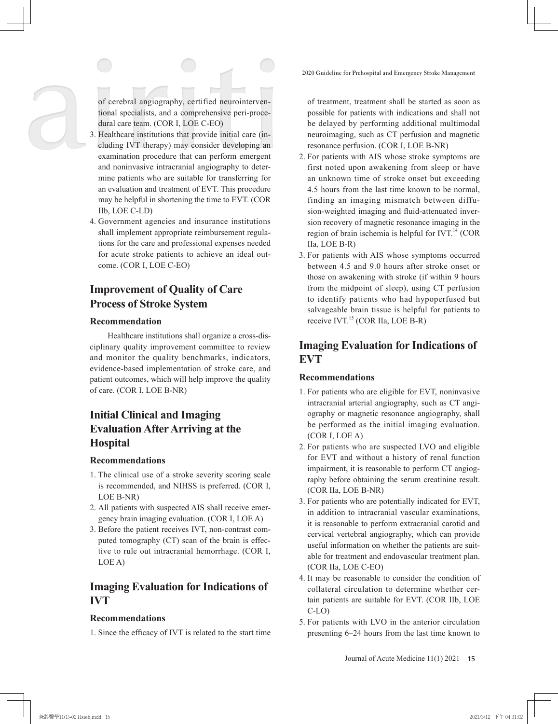of cerebral angiography, certified neurointerventional specialists, and a comprehensive peri-procedural care team. (COR I, LOE C-EO)

- 3. Healthcare institutions that provide initial care (including IVT therapy) may consider developing an examination procedure that can perform emergent and noninvasive intracranial angiography to determine patients who are suitable for transferring for an evaluation and treatment of EVT. This procedure may be helpful in shortening the time to EVT. (COR IIb, LOE C-LD)
- 4. Government agencies and insurance institutions shall implement appropriate reimbursement regulations for the care and professional expenses needed for acute stroke patients to achieve an ideal outcome. (COR I, LOE C-EO)

# **Improvement of Quality of Care Process of Stroke System**

#### **Recommendation**

Healthcare institutions shall organize a cross-disciplinary quality improvement committee to review and monitor the quality benchmarks, indicators, evidence-based implementation of stroke care, and patient outcomes, which will help improve the quality of care. (COR I, LOE B-NR)

# **Initial Clinical and Imaging Evaluation After Arriving at the Hospital**

#### **Recommendations**

- 1. The clinical use of a stroke severity scoring scale is recommended, and NIHSS is preferred. (COR I, LOE B-NR)
- 2. All patients with suspected AIS shall receive emergency brain imaging evaluation. (COR I, LOE A)
- 3. Before the patient receives IVT, non-contrast computed tomography (CT) scan of the brain is effective to rule out intracranial hemorrhage. (COR I, LOE A)

# **Imaging Evaluation for Indications of IVT**

#### **Recommendations**

1. Since the efficacy of IVT is related to the start time

of treatment, treatment shall be started as soon as possible for patients with indications and shall not be delayed by performing additional multimodal neuroimaging, such as CT perfusion and magnetic resonance perfusion. (COR I, LOE B-NR)

- 2. For patients with AIS whose stroke symptoms are first noted upon awakening from sleep or have an unknown time of stroke onset but exceeding 4.5 hours from the last time known to be normal, finding an imaging mismatch between diffusion-weighted imaging and fluid-attenuated inversion recovery of magnetic resonance imaging in the region of brain ischemia is helpful for IVT. $^{14}$  (COR IIa, LOE B-R)
- 3. For patients with AIS whose symptoms occurred between 4.5 and 9.0 hours after stroke onset or those on awakening with stroke (if within 9 hours from the midpoint of sleep), using CT perfusion to identify patients who had hypoperfused but salvageable brain tissue is helpful for patients to receive IVT.<sup>15</sup> (COR IIa, LOE B-R)

# **Imaging Evaluation for Indications of EVT**

#### **Recommendations**

- 1. For patients who are eligible for EVT, noninvasive intracranial arterial angiography, such as CT angiography or magnetic resonance angiography, shall be performed as the initial imaging evaluation. (COR I, LOE A)
- 2. For patients who are suspected LVO and eligible for EVT and without a history of renal function impairment, it is reasonable to perform CT angiography before obtaining the serum creatinine result. (COR IIa, LOE B-NR)
- 3. For patients who are potentially indicated for EVT, in addition to intracranial vascular examinations, it is reasonable to perform extracranial carotid and cervical vertebral angiography, which can provide useful information on whether the patients are suitable for treatment and endovascular treatment plan. (COR IIa, LOE C-EO)
- 4. It may be reasonable to consider the condition of collateral circulation to determine whether certain patients are suitable for EVT. (COR IIb, LOE C-LO)
- 5. For patients with LVO in the anterior circulation presenting 6–24 hours from the last time known to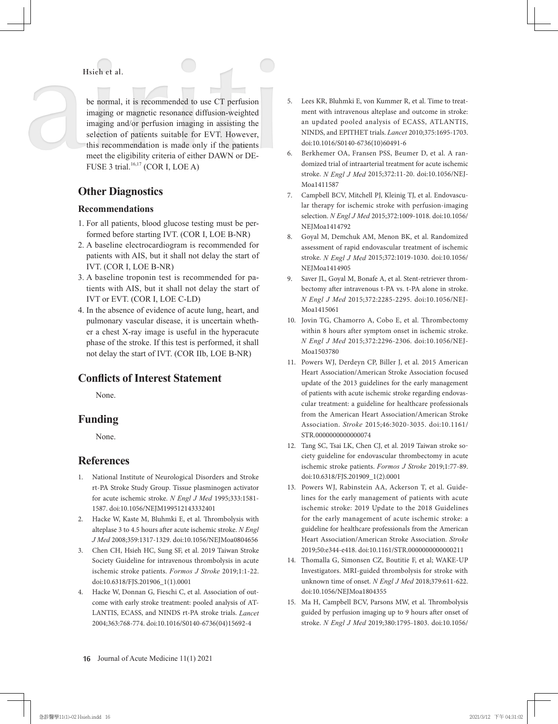**Hsieh et al.**

be normal, it is recommended to use CT perfusion imaging or magnetic resonance diffusion-weighted imaging and/or perfusion imaging in assisting the selection of patients suitable for EVT. However, this recommendation is made only if the patients meet the eligibility criteria of either DAWN or DE-FUSE 3 trial. $16,17$  (COR I, LOE A)

### **Other Diagnostics**

#### **Recommendations**

- 1. For all patients, blood glucose testing must be performed before starting IVT. (COR I, LOE B-NR)
- 2. A baseline electrocardiogram is recommended for patients with AIS, but it shall not delay the start of IVT. (COR I, LOE B-NR)
- 3. A baseline troponin test is recommended for patients with AIS, but it shall not delay the start of IVT or EVT. (COR I, LOE C-LD)
- 4. In the absence of evidence of acute lung, heart, and pulmonary vascular disease, it is uncertain whether a chest X-ray image is useful in the hyperacute phase of the stroke. If this test is performed, it shall not delay the start of IVT. (COR IIb, LOE B-NR)

# **Conflicts of Interest Statement**

None.

# **Funding**

None.

# **References**

- 1. National Institute of Neurological Disorders and Stroke rt-PA Stroke Study Group. Tissue plasminogen activator for acute ischemic stroke. *N Engl J Med* 1995;333:1581- 1587. doi:10.1056/NEJM199512143332401
- 2. Hacke W, Kaste M, Bluhmki E, et al. Thrombolysis with alteplase 3 to 4.5 hours after acute ischemic stroke. *N Engl J Med* 2008;359:1317-1329. doi:10.1056/NEJMoa0804656
- 3. Chen CH, Hsieh HC, Sung SF, et al. 2019 Taiwan Stroke Society Guideline for intravenous thrombolysis in acute ischemic stroke patients. *Formos J Stroke* 2019;1:1-22. doi:10.6318/FJS.201906\_1(1).0001
- 4. Hacke W, Donnan G, Fieschi C, et al. Association of outcome with early stroke treatment: pooled analysis of AT-LANTIS, ECASS, and NINDS rt-PA stroke trials. *Lancet* 2004;363:768-774. doi:10.1016/S0140-6736(04)15692-4
- 5. Lees KR, Bluhmki E, von Kummer R, et al. Time to treatment with intravenous alteplase and outcome in stroke: an updated pooled analysis of ECASS, ATLANTIS, NINDS, and EPITHET trials. *Lancet* 2010;375:1695-1703. doi:10.1016/S0140-6736(10)60491-6
- 6. Berkhemer OA, Fransen PSS, Beumer D, et al. A randomized trial of intraarterial treatment for acute ischemic stroke. *N Engl J Med* 2015;372:11-20. doi:10.1056/NEJ-Moa1411587
- 7. Campbell BCV, Mitchell PJ, Kleinig TJ, et al. Endovascular therapy for ischemic stroke with perfusion-imaging selection. *N Engl J Med* 2015;372:1009-1018. doi:10.1056/ NEJMoa1414792
- 8. Goyal M, Demchuk AM, Menon BK, et al. Randomized assessment of rapid endovascular treatment of ischemic stroke. *N Engl J Med* 2015;372:1019-1030. doi:10.1056/ NEJMoa1414905
- 9. Saver JL, Goyal M, Bonafe A, et al. Stent-retriever thrombectomy after intravenous t-PA vs. t-PA alone in stroke. *N Engl J Med* 2015;372:2285-2295. doi:10.1056/NEJ-Moa1415061
- 10. Jovin TG, Chamorro A, Cobo E, et al. Thrombectomy within 8 hours after symptom onset in ischemic stroke. *N Engl J Med* 2015;372:2296-2306. doi:10.1056/NEJ-Moa1503780
- 11. Powers WJ, Derdeyn CP, Biller J, et al. 2015 American Heart Association/American Stroke Association focused update of the 2013 guidelines for the early management of patients with acute ischemic stroke regarding endovascular treatment: a guideline for healthcare professionals from the American Heart Association/American Stroke Association. *Stroke* 2015;46:3020-3035. doi:10.1161/ STR.0000000000000074
- 12. Tang SC, Tsai LK, Chen CJ, et al. 2019 Taiwan stroke society guideline for endovascular thrombectomy in acute ischemic stroke patients. *Formos J Stroke* 2019;1:77-89. doi:10.6318/FJS.201909\_1(2).0001
- 13. Powers WJ, Rabinstein AA, Ackerson T, et al. Guidelines for the early management of patients with acute ischemic stroke: 2019 Update to the 2018 Guidelines for the early management of acute ischemic stroke: a guideline for healthcare professionals from the American Heart Association/American Stroke Association. *Stroke*  2019;50:e344-e418. doi:10.1161/STR.0000000000000211
- 14. Thomalla G, Simonsen CZ, Boutitie F, et al; WAKE-UP Investigators. MRI-guided thrombolysis for stroke with unknown time of onset. *N Engl J Med* 2018;379:611-622. doi:10.1056/NEJMoa1804355
- 15. Ma H, Campbell BCV, Parsons MW, et al. Thrombolysis guided by perfusion imaging up to 9 hours after onset of stroke. *N Engl J Med* 2019;380:1795-1803. doi:10.1056/